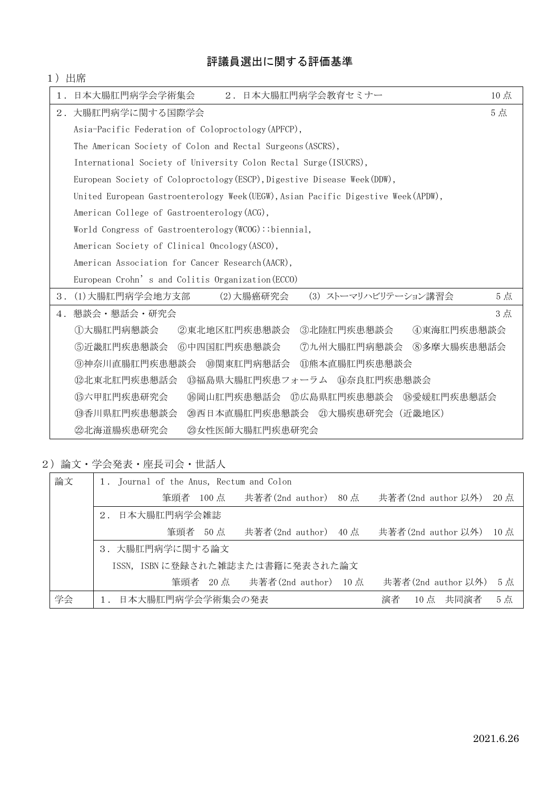## 評議員選出に関する評価基準

| 1)    | 出席                                                                               |     |  |  |  |  |  |  |
|-------|----------------------------------------------------------------------------------|-----|--|--|--|--|--|--|
| $1$ . | 2. 日本大腸肛門病学会教育セミナー<br>日本大腸肛門病学会学術集会                                              | 10点 |  |  |  |  |  |  |
| $2$ . | 大腸肛門病学に関する国際学会                                                                   |     |  |  |  |  |  |  |
|       | Asia-Pacific Federation of Coloproctology (APFCP),                               |     |  |  |  |  |  |  |
|       | The American Society of Colon and Rectal Surgeons (ASCRS),                       |     |  |  |  |  |  |  |
|       | International Society of University Colon Rectal Surge (ISUCRS),                 |     |  |  |  |  |  |  |
|       | European Society of Coloproctology (ESCP), Digestive Disease Week (DDW),         |     |  |  |  |  |  |  |
|       | United European Gastroenterology Week(UEGW), Asian Pacific Digestive Week(APDW), |     |  |  |  |  |  |  |
|       | American College of Gastroenterology (ACG),                                      |     |  |  |  |  |  |  |
|       | World Congress of Gastroenterology (WCOG): : biennial,                           |     |  |  |  |  |  |  |
|       | American Society of Clinical Oncology (ASCO),                                    |     |  |  |  |  |  |  |
|       | American Association for Cancer Research (AACR),                                 |     |  |  |  |  |  |  |
|       | European Crohn's and Colitis Organization (ECCO)                                 |     |  |  |  |  |  |  |
| 3.    | (3) ストーマリハビリテーション講習会<br>(1)大腸肛門病学会地方支部<br>(2) 大腸癌研究会                             | 5点  |  |  |  |  |  |  |
| $4$ . | 懇談会・懇話会・研究会                                                                      | 3点  |  |  |  |  |  |  |
|       | ①大腸肛門病懇談会<br>②東北地区肛門疾患懇談会<br>③北陸肛門疾患懇談会<br>4東海肛門疾患懇談会                            |     |  |  |  |  |  |  |
|       | 6近畿肛門疾患懇談会<br>6中四国肛門疾患懇談会<br>⑦九州大腸肛門病懇談会<br>8多摩大腸疾患懇話会                           |     |  |  |  |  |  |  |
|       | ⑨神奈川直腸肛門疾患懇談会<br>⑩関東肛門病懇話会<br>⑪熊本直腸肛門疾患懇談会                                       |     |  |  |  |  |  |  |
|       | ⑫北東北肛門疾患懇話会<br>⑬福島県大腸肛門疾患フォーラム ⑭奈良肛門疾患懇談会                                        |     |  |  |  |  |  |  |
|       | ⑮六甲肛門疾患研究会<br>(6)岡山肛門疾患懇話会<br>⑰広島県肛門疾患懇談会<br>⑱愛媛肛門疾患懇話会                          |     |  |  |  |  |  |  |
|       | 19香川県肛門疾患懇談会<br>20西日本直腸肛門疾患懇談会 20大腸疾患研究会 (近畿地区)                                  |     |  |  |  |  |  |  |
|       | <b> 23女性医師大腸肛門疾患研究会</b><br>22北海道腸疾患研究会                                           |     |  |  |  |  |  |  |

2)論文・学会発表・座長司会・世話人

| 論文 | Journal of the Anus, Rectum and Colon<br>$1$ . |         |                                 |                |                    |        |  |
|----|------------------------------------------------|---------|---------------------------------|----------------|--------------------|--------|--|
|    |                                                |         | 筆頭者 100 点  共著者(2nd author) 80 点 |                | 共著者(2nd author 以外) | 20点    |  |
|    | 日本大腸肛門病学会雑誌<br>2.                              |         |                                 |                |                    |        |  |
|    |                                                | 筆頭者 50点 | 共著者(2nd author) 40 点            |                | 共著者(2nd author 以外) | $10$ 点 |  |
|    | 3.大腸肛門病学に関する論文                                 |         |                                 |                |                    |        |  |
|    | ISSN, ISBN に登録された雑誌または書籍に発表された論文               |         |                                 |                |                    |        |  |
|    |                                                |         | 筆頭者 20点 共著者 (2nd author) 10点    |                | 共著者(2nd author 以外) | 5点     |  |
| 学会 | 日本大腸肛門病学会学術集会の発表<br>$\mathbf{1}$ .             |         |                                 | 10点 共同演者<br>演者 | 5点                 |        |  |